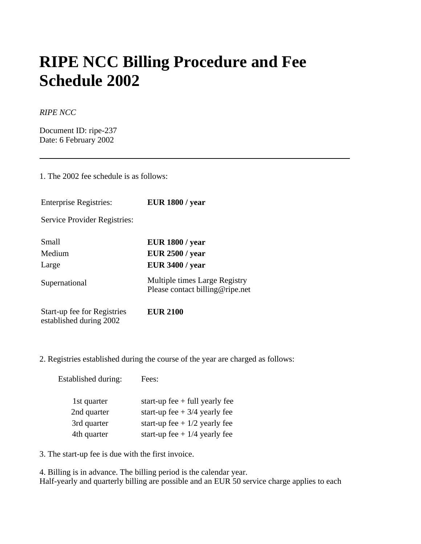## **RIPE NCC Billing Procedure and Fee Schedule 2002**

## *RIPE NCC*

Document ID: ripe-237 Date: 6 February 2002

1. The 2002 fee schedule is as follows:

| <b>Enterprise Registries:</b>                          | <b>EUR 1800 / year</b>                                           |
|--------------------------------------------------------|------------------------------------------------------------------|
| Service Provider Registries:                           |                                                                  |
| Small                                                  | <b>EUR 1800 / year</b>                                           |
| Medium                                                 | <b>EUR 2500 / year</b>                                           |
| Large                                                  | <b>EUR 3400 / year</b>                                           |
| Supernational                                          | Multiple times Large Registry<br>Please contact billing@ripe.net |
| Start-up fee for Registries<br>established during 2002 | <b>EUR 2100</b>                                                  |

2. Registries established during the course of the year are charged as follows:

Established during: Fees:

| 1st quarter | start-up fee $+$ full yearly fee |
|-------------|----------------------------------|
| 2nd quarter | start-up fee $+3/4$ yearly fee   |
| 3rd quarter | start-up fee + $1/2$ yearly fee  |
| 4th quarter | start-up fee + $1/4$ yearly fee  |

3. The start-up fee is due with the first invoice.

4. Billing is in advance. The billing period is the calendar year. Half-yearly and quarterly billing are possible and an EUR 50 service charge applies to each